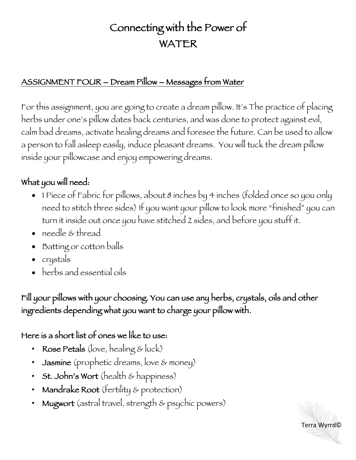## Connecting with the Power of WATER

## ASSIGNMENT FOUR – Dream Pillow – Messages from Water

For this assignment, you are going to create a dream pillow. It's The practice of placing herbs under one's pillow dates back centuries, and was done to protect against evil, calm bad dreams, activate healing dreams and foresee the future. Can be used to allow a person to fall asleep easily, induce pleasant dreams. You will tuck the dream pillow inside your pillowcase and enjoy empowering dreams.

## What you will need:

- 1 Piece of Fabric for pillows, about 8 inches by 4 inches (folded once so you only need to stitch three sides) If you want your pillow to look more "finished" you can turn it inside out once you have stitched 2 sides, and before you stuff it.
- needle & thread
- Batting or cotton balls
- crystals
- herbs and essential oils

Fill your pillows with your choosing. You can use any herbs, crystals, oils and other ingredients depending what you want to charge your pillow with.

## Here is a short list of ones we like to use:

- Rose Petals (love, healing & luck)
- Jasmine (prophetic dreams, love & money)
- St. John's Wort (health & happiness)
- Mandrake Root (fertility & protection)
- Mugwort (astral travel, strength & psychic powers)

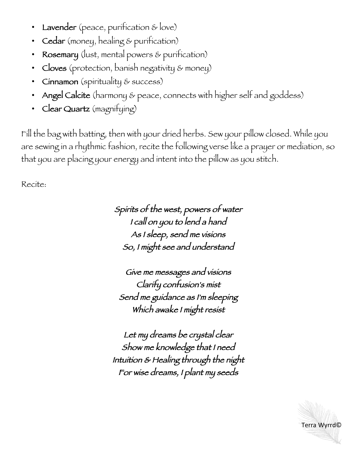- **Lavender** (peace, purification & love)
- Cedar (money, healing & purification)
- Rosemary (lust, mental powers & purification)
- Cloves (protection, banish negativity & money)
- Cinnamon (spirituality & success)
- Angel Calcite (harmony & peace, connects with higher self and goddess)
- Clear Quartz (magnifying)

Fill the bag with batting, then with your dried herbs. Sew your pillow closed. While you are sewing in a rhythmic fashion, recite the following verse like a prayer or mediation, so that you are placing your energy and intent into the pillow as you stitch.

Recite:

Spirits of the west, powers of water I call on you to lend a hand As I sleep, send me visions So, I might see and understand

Give me messages and visions Clarify confusion's mist Send me guidance as I'm sleeping Which awake I might resist

Let my dreams be crystal clear Show me knowledge that I need Intuition & Healing through the night For wise dreams, I plant my seeds